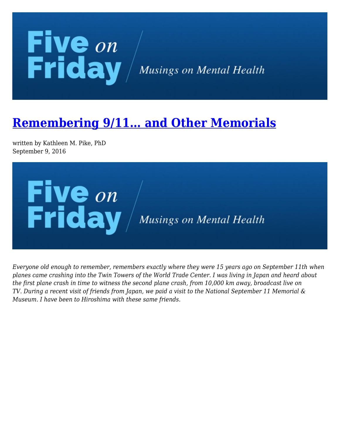## **Five** on<br>Friday / Musings on Mental Health

## **[Remembering 9/11… and Other Memorials](https://kathypikephd.com/five-on-friday/remembering-911-and-other-memorials/)**

written by Kathleen M. Pike, PhD September 9, 2016



*Everyone old enough to remember, remembers exactly where they were 15 years ago on September 11th when planes came crashing into the Twin Towers of the World Trade Center. I was living in Japan and heard about the first plane crash in time to witness the second plane crash, from 10,000 km away, broadcast live on TV. During a recent visit of friends from Japan, we paid a visit to the National September 11 Memorial & Museum. I have been to Hiroshima with these same friends.*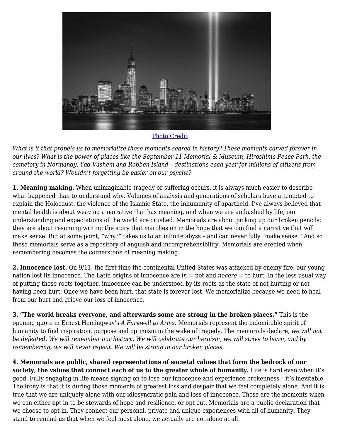

## [Photo Credit](https://stock.adobe.com/60006774?asset_id=60006774)

*What is it that propels us to memorialize these moments seared in history? These moments carved forever in our lives? What is the power of places like the September 11 Memorial & Museum, Hiroshima Peace Park, the cemetery in Normandy, Yad Vashem and Robben Island – destinations each year for millions of citizens from around the world? Wouldn't forgetting be easier on our psyche?*

**1. Meaning making.** When unimaginable tragedy or suffering occurs, it is always much easier to describe what happened than to understand why. Volumes of analysis and generations of scholars have attempted to explain the Holocaust, the violence of the Islamic State, the inhumanity of apartheid. I've always believed that mental health is about weaving a narrative that has meaning, and when we are ambushed by life, our understanding and expectations of the world are crushed. Memorials are about picking up our broken pencils; they are about resuming writing the story that marches on in the hope that we can find a narrative that will make sense. But at some point, "why?" takes us to an infinite abyss – and can never fully "make sense." And so these memorials serve as a repository of anguish and incomprehensibility. Memorials are erected when remembering becomes the cornerstone of meaning making. .

**2. Innocence lost.** On 9/11, the first time the continental United States was attacked by enemy fire, our young nation lost its innocence. The Latin origins of innocence are *in* = not and *nocere* = to hurt. In the less usual way of putting these roots together, innocence can be understood by its roots as the state of not hurting or not having been hurt. Once we have been hurt, that state is forever lost. We memorialize because we need to heal from our hurt and grieve our loss of innocence.

**3. "The world breaks everyone, and afterwards some are strong in the broken places."** This is the opening quote in Ernest Hemingway's *A Farewell to Arms*. Memorials represent the indomitable spirit of humanity to find inspiration, purpose and optimism in the wake of tragedy. The memorials declare, *we will not be defeated. We will remember our history. We will celebrate our heroism, we will strive to learn, and by remembering, we will never repeat. We will be strong in our broken places.*

**4. Memorials are public, shared representations of societal values that form the bedrock of our society, the values that connect each of us to the greater whole of humanity.** Life is hard even when it's good. Fully engaging in life means signing on to lose our innocence and experience brokenness – it's inevitable. The irony is that it is during those moments of greatest loss and despair that we feel completely alone. And it is true that we are uniquely alone with our idiosyncratic pain and loss of innocence. These are the moments when we can either opt in to be stewards of hope and resilience, or opt out. Memorials are a public declaration that we choose to opt in. They connect our personal, private and unique experiences with all of humanity. They stand to remind us that when we feel most alone, we actually are not alone at all.